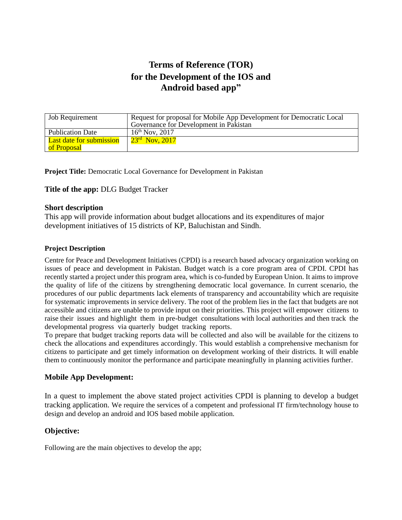# **Terms of Reference (TOR) for the Development of the IOS and Android based app"**

| <b>Job Requirement</b>          | Request for proposal for Mobile App Development for Democratic Local<br>Governance for Development in Pakistan |
|---------------------------------|----------------------------------------------------------------------------------------------------------------|
| <b>Publication Date</b>         | $16^{th}$ Nov, 2017                                                                                            |
| <b>Last date for submission</b> | $23^{\rm rd}$ Nov, $2017$                                                                                      |
| of Proposal                     |                                                                                                                |

**Project Title:** Democratic Local Governance for Development in Pakistan

**Title of the app:** DLG Budget Tracker

#### **Short description**

This app will provide information about budget allocations and its expenditures of major development initiatives of 15 districts of KP, Baluchistan and Sindh.

#### **Project Description**

Centre for Peace and Development Initiatives (CPDI) is a research based advocacy organization working on issues of peace and development in Pakistan. Budget watch is a core program area of CPDI. CPDI has recently started a project under this program area, which is co-funded by European Union. It aims to improve the quality of life of the citizens by strengthening democratic local governance. In current scenario, the procedures of our public departments lack elements of transparency and accountability which are requisite for systematic improvements in service delivery. The root of the problem lies in the fact that budgets are not accessible and citizens are unable to provide input on their priorities. This project will empower citizens to raise their issues and highlight them in pre-budget consultations with local authorities and then track the developmental progress via quarterly budget tracking reports.

To prepare that budget tracking reports data will be collected and also will be available for the citizens to check the allocations and expenditures accordingly. This would establish a comprehensive mechanism for citizens to participate and get timely information on development working of their districts. It will enable them to continuously monitor the performance and participate meaningfully in planning activities further.

### **Mobile App Development:**

In a quest to implement the above stated project activities CPDI is planning to develop a budget tracking application. We require the services of a competent and professional IT firm/technology house to design and develop an android and IOS based mobile application.

## **Objective:**

Following are the main objectives to develop the app;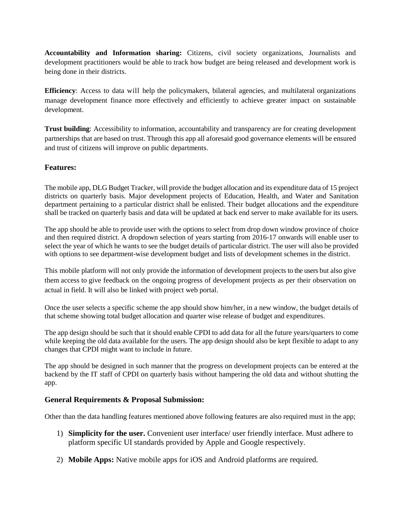**Accountability and Information sharing:** Citizens, civil society organizations, Journalists and development practitioners would be able to track how budget are being released and development work is being done in their districts.

**Efficiency**: Access to data will help the policymakers, bilateral agencies, and multilateral organizations manage development finance more effectively and efficiently to achieve greater impact on sustainable development.

**Trust building**: Accessibility to information, accountability and transparency are for creating development partnerships that are based on trust. Through this app all aforesaid good governance elements will be ensured and trust of citizens will improve on public departments.

# **Features:**

The mobile app, DLG Budget Tracker, will provide the budget allocation and its expenditure data of 15 project districts on quarterly basis. Major development projects of Education, Health, and Water and Sanitation department pertaining to a particular district shall be enlisted. Their budget allocations and the expenditure shall be tracked on quarterly basis and data will be updated at back end server to make available for its users.

The app should be able to provide user with the options to select from drop down window province of choice and then required district. A dropdown selection of years starting from 2016-17 onwards will enable user to select the year of which he wants to see the budget details of particular district. The user will also be provided with options to see department-wise development budget and lists of development schemes in the district.

This mobile platform will not only provide the information of development projects to the users but also give them access to give feedback on the ongoing progress of development projects as per their observation on actual in field. It will also be linked with project web portal.

Once the user selects a specific scheme the app should show him/her, in a new window, the budget details of that scheme showing total budget allocation and quarter wise release of budget and expenditures.

The app design should be such that it should enable CPDI to add data for all the future years/quarters to come while keeping the old data available for the users. The app design should also be kept flexible to adapt to any changes that CPDI might want to include in future.

The app should be designed in such manner that the progress on development projects can be entered at the backend by the IT staff of CPDI on quarterly basis without hampering the old data and without shutting the app.

### **General Requirements & Proposal Submission:**

Other than the data handling features mentioned above following features are also required must in the app;

- 1) **Simplicity for the user.** Convenient user interface/ user friendly interface. Must adhere to platform specific UI standards provided by Apple and Google respectively.
- 2) **Mobile Apps:** Native mobile apps for iOS and Android platforms are required.